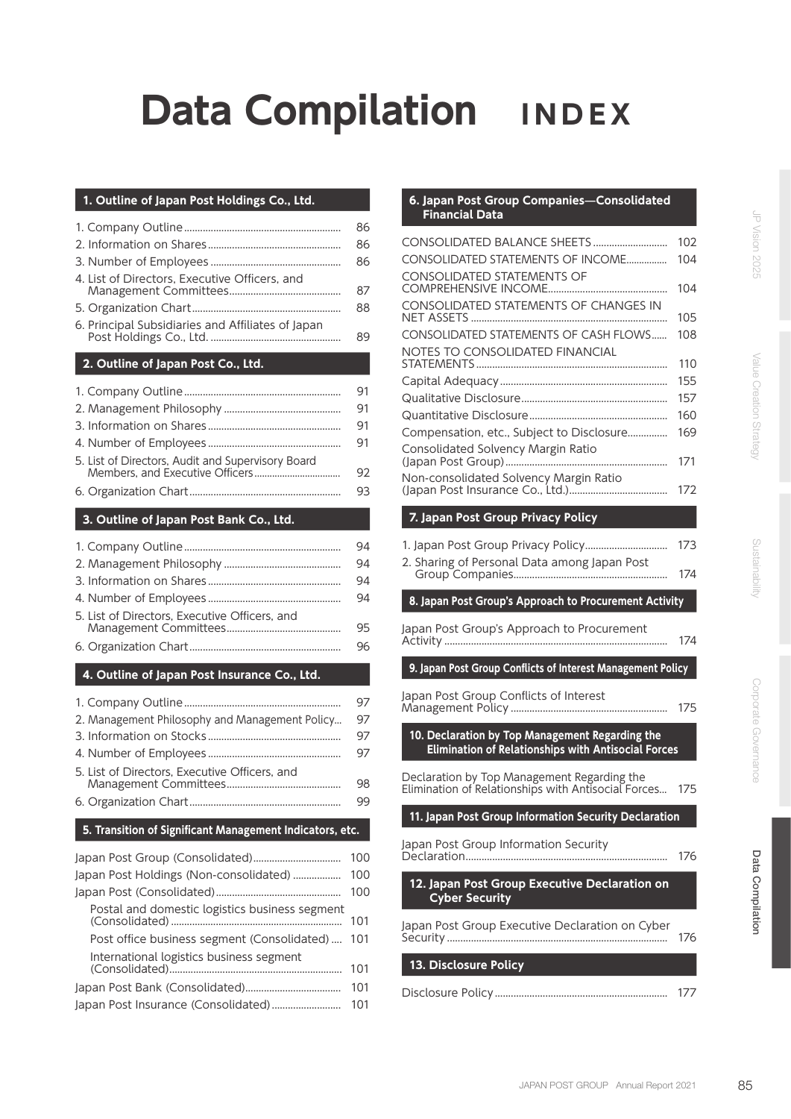# **Data Compilation INDEX**

#### **1. Outline of Japan Post Holdings Co., Ltd.**

| 4. List of Directors, Executive Officers, and<br>6. Principal Subsidiaries and Affiliates of Japan | 86<br>86<br>86<br>87<br>88<br>89 |
|----------------------------------------------------------------------------------------------------|----------------------------------|
| 2. Outline of Japan Post Co., Ltd.                                                                 |                                  |
|                                                                                                    |                                  |
|                                                                                                    | 91                               |
|                                                                                                    | 91                               |
|                                                                                                    | 91                               |
|                                                                                                    | 91                               |
| 5. List of Directors, Audit and Supervisory Board                                                  | 92                               |
|                                                                                                    | 93                               |
| 3. Outline of Japan Post Bank Co., Ltd.                                                            |                                  |
|                                                                                                    |                                  |
|                                                                                                    | 94                               |

|                                               | 94 |
|-----------------------------------------------|----|
|                                               | 94 |
|                                               | 94 |
| 5. List of Directors. Executive Officers, and | 95 |
|                                               | 96 |

#### **4. Outline of Japan Post Insurance Co., Ltd.**

|                                                | 97 |
|------------------------------------------------|----|
| 2. Management Philosophy and Management Policy | 97 |
|                                                | 97 |
|                                                | 97 |
| 5. List of Directors, Executive Officers, and  | 98 |
|                                                | 99 |

### **5. Transition of Significant Management Indicators, etc.**

|                                                 | 100 |
|-------------------------------------------------|-----|
| Japan Post Holdings (Non-consolidated)  100     |     |
|                                                 | 100 |
| Postal and domestic logistics business segment  | 101 |
| Post office business segment (Consolidated) 101 |     |
| International logistics business segment        | 101 |
|                                                 | 101 |
|                                                 |     |

#### **6. Japan Post Group Companies—Consolidated Financial Data**

| CONSOLIDATED BALANCE SHEETS                                                                            | 102        |
|--------------------------------------------------------------------------------------------------------|------------|
| CONSOLIDATED STATEMENTS OF INCOME                                                                      | 104        |
| <b>CONSOLIDATED STATEMENTS OF</b>                                                                      |            |
| CONSOLIDATED STATEMENTS OF CHANGES IN                                                                  | 104        |
|                                                                                                        | 105        |
| CONSOLIDATED STATEMENTS OF CASH FLOWS                                                                  | 108        |
| NOTES TO CONSOLIDATED FINANCIAL                                                                        |            |
|                                                                                                        | 110        |
|                                                                                                        | 155        |
|                                                                                                        | 157<br>160 |
| Compensation, etc., Subject to Disclosure                                                              | 169        |
| Consolidated Solvency Margin Ratio                                                                     |            |
|                                                                                                        | 171        |
| Non-consolidated Solvency Margin Ratio                                                                 |            |
|                                                                                                        | 172        |
| 7. Japan Post Group Privacy Policy                                                                     |            |
|                                                                                                        | 173        |
| 2. Sharing of Personal Data among Japan Post                                                           |            |
|                                                                                                        | 174        |
| 8. Japan Post Group's Approach to Procurement Activity                                                 |            |
| Japan Post Group's Approach to Procurement                                                             |            |
|                                                                                                        | 174        |
| 9. Japan Post Group Conflicts of Interest Management Policy                                            |            |
| Japan Post Group Conflicts of Interest                                                                 |            |
|                                                                                                        | 175        |
| 10. Declaration by Top Management Regarding the<br>Elimination of Relationships with Antisocial Forces |            |

| Declaration by Top Management Regarding the<br>Elimination of Relationships with Antisocial Forces | 175 |
|----------------------------------------------------------------------------------------------------|-----|
|----------------------------------------------------------------------------------------------------|-----|

**11. Japan Post Group Information Security Declaration**

| Japan Post Group Information Security |     |
|---------------------------------------|-----|
|                                       | 176 |
|                                       |     |

# **12. Japan Post Group Executive Declaration on Cyber Security**

| Japan Post Group Executive Declaration on Cyber |     |
|-------------------------------------------------|-----|
|                                                 | 176 |

# **13. Disclosure Policy**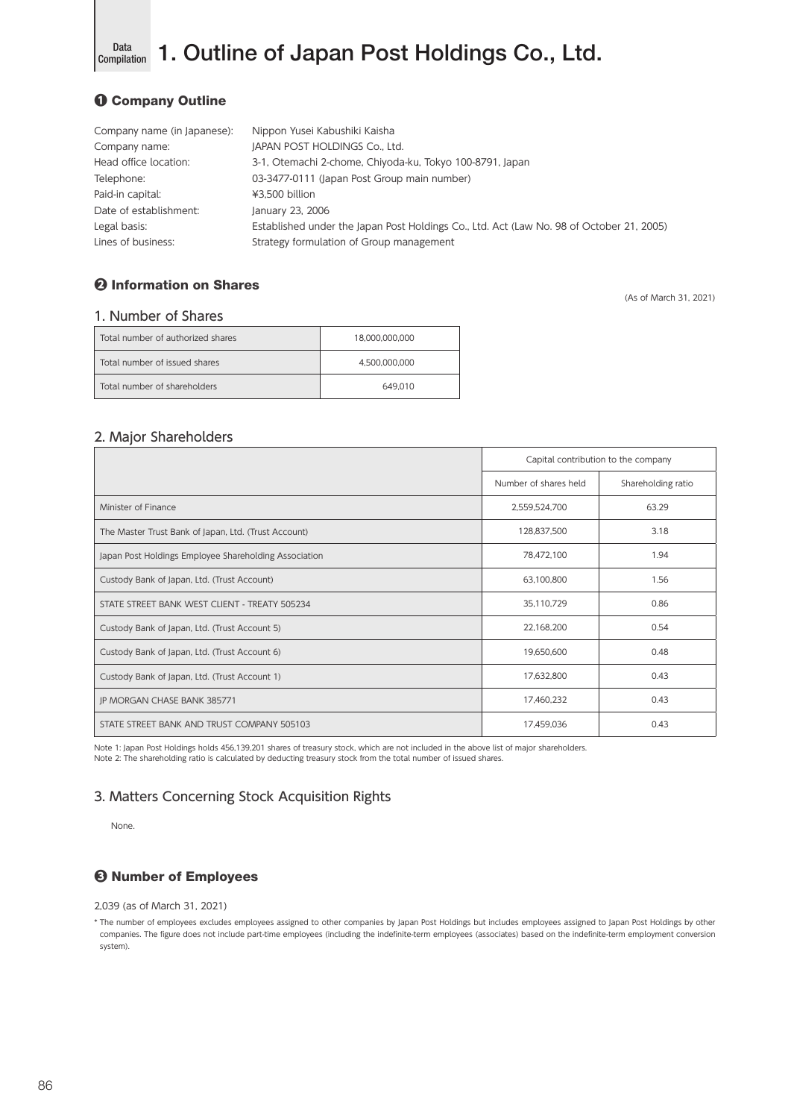

Data 1. Outline of Japan Post Holdings Co., Ltd.

# ❶ Company Outline

| Company name (in Japanese): | Nippon Yusei Kabushiki Kaisha                                                            |
|-----------------------------|------------------------------------------------------------------------------------------|
| Company name:               | JAPAN POST HOLDINGS Co., Ltd.                                                            |
| Head office location:       | 3-1, Otemachi 2-chome, Chiyoda-ku, Tokyo 100-8791, Japan                                 |
| Telephone:                  | 03-3477-0111 (Japan Post Group main number)                                              |
| Paid-in capital:            | ¥3.500 billion                                                                           |
| Date of establishment:      | January 23, 2006                                                                         |
| Legal basis:                | Established under the Japan Post Holdings Co., Ltd. Act (Law No. 98 of October 21, 2005) |
| Lines of business:          | Strategy formulation of Group management                                                 |

# ❷ Information on Shares

(As of March 31, 2021)

# 1. Number of Shares

| Total number of authorized shares | 18.000.000.000 |
|-----------------------------------|----------------|
| Total number of issued shares     | 4.500.000.000  |
| Total number of shareholders      | 649.010        |

# 2. Major Shareholders

|                                                       | Capital contribution to the company |                    |
|-------------------------------------------------------|-------------------------------------|--------------------|
|                                                       | Number of shares held               | Shareholding ratio |
| Minister of Finance                                   | 2,559,524,700                       | 63.29              |
| The Master Trust Bank of Japan, Ltd. (Trust Account)  | 128,837,500                         | 3.18               |
| Japan Post Holdings Employee Shareholding Association | 78,472,100                          | 1.94               |
| Custody Bank of Japan, Ltd. (Trust Account)           | 63,100,800                          | 1.56               |
| STATE STREET BANK WEST CLIENT - TREATY 505234         | 35,110,729                          | 0.86               |
| Custody Bank of Japan, Ltd. (Trust Account 5)         | 22,168,200                          | 0.54               |
| Custody Bank of Japan, Ltd. (Trust Account 6)         | 19,650,600                          | 0.48               |
| Custody Bank of Japan, Ltd. (Trust Account 1)         | 17,632,800                          | 0.43               |
| JP MORGAN CHASE BANK 385771                           | 17,460,232                          | 0.43               |
| STATE STREET BANK AND TRUST COMPANY 505103            | 17,459,036                          | 0.43               |

Note 1: Japan Post Holdings holds 456,139,201 shares of treasury stock, which are not included in the above list of major shareholders. Note 2: The shareholding ratio is calculated by deducting treasury stock from the total number of issued shares.

# 3. Matters Concerning Stock Acquisition Rights

None.

# ❸ Number of Employees

2,039 (as of March 31, 2021)

\* The number of employees excludes employees assigned to other companies by Japan Post Holdings but includes employees assigned to Japan Post Holdings by other companies. The figure does not include part-time employees (including the indefinite-term employees (associates) based on the indefinite-term employment conversion system).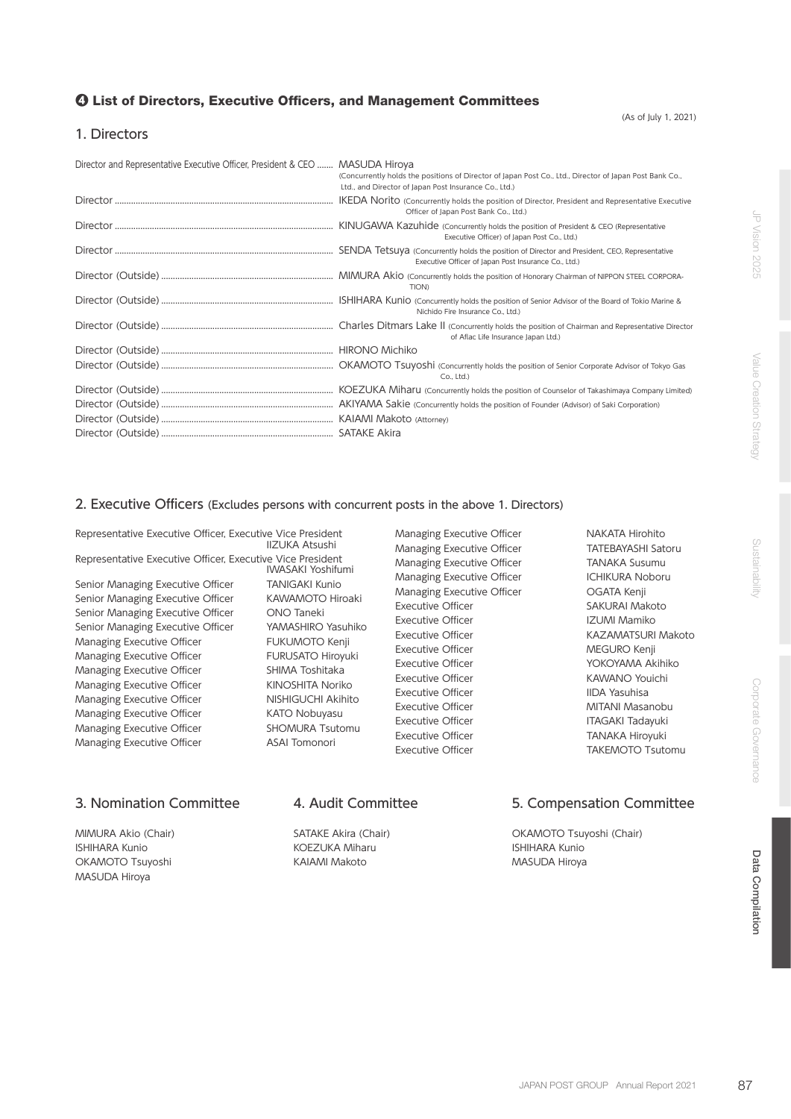### ❹ List of Directors, Executive Officers, and Management Committees

(As of July 1, 2021)

### 1. Directors

| Director and Representative Executive Officer, President & CEO  MASUDA Hiroya | (Concurrently holds the positions of Director of Japan Post Co., Ltd., Director of Japan Post Bank Co.,<br>Ltd., and Director of Japan Post Insurance Co., Ltd.) |
|-------------------------------------------------------------------------------|------------------------------------------------------------------------------------------------------------------------------------------------------------------|
|                                                                               | Officer of Japan Post Bank Co., Ltd.)                                                                                                                            |
|                                                                               | Executive Officer) of Japan Post Co., Ltd.)                                                                                                                      |
|                                                                               | Executive Officer of Japan Post Insurance Co., Ltd.)                                                                                                             |
|                                                                               | <b>TION)</b>                                                                                                                                                     |
|                                                                               | Nichido Fire Insurance Co., Ltd.)                                                                                                                                |
|                                                                               | of Aflac Life Insurance Japan Ltd.)                                                                                                                              |
|                                                                               |                                                                                                                                                                  |
|                                                                               | Co., Ltd.)                                                                                                                                                       |
|                                                                               |                                                                                                                                                                  |
|                                                                               |                                                                                                                                                                  |
|                                                                               |                                                                                                                                                                  |
|                                                                               |                                                                                                                                                                  |

## 2. Executive Officers (Excludes persons with concurrent posts in the above 1. Directors)

Representative Executive Officer, Executive Vice President Representative Executive Officer, Executive Vice President Senior Managing Executive Officer TANIGAKI Kunio Senior Managing Executive Officer KAWAMOTO Hiroaki Senior Managing Executive Officer ONO Taneki Senior Managing Executive Officer YAMASHIRO Yasuhiko Managing Executive Officer FUKUMOTO Kenji Managing Executive Officer FURUSATO Hiroyuki Managing Executive Officer SHIMA Toshitaka Managing Executive Officer KINOSHITA Noriko Managing Executive Officer NISHIGUCHI Akihito Managing Executive Officer KATO Nobuyasu Managing Executive Officer SHOMURA Tsutomu Managing Executive Officer **ASAI Tomonori** 

IIZUKA Atsushi IWASAKI Yoshifumi Managing Executive Officer NAKATA Hirohito Managing Executive Officer TATEBAYASHI Satoru Managing Executive Officer TANAKA Susumu Managing Executive Officer **ICHIKURA Noboru** Managing Executive Officer **CEATA Kenji** Executive Officer **SAKURAI Makoto** Executive Officer **IZUMI Mamiko** Executive Officer **KAZAMATSURI Makoto** Executive Officer **MEGURO** Kenji Executive Officer **The Contract of Transformation** YOKOYAMA Akihiko Executive Officer **KAWANO** Youichi Executive Officer **IIDA Yasuhisa** Executive Officer **MITANI Masanobu** Executive Officer **ITAGAKI Tadayuki** Executive Officer TANAKA Hiroyuki

Executive Officer TAKEMOTO Tsutomu

MIMURA Akio (Chair) ISHIHARA Kunio OKAMOTO Tsuyoshi MASUDA Hiroya

SATAKE Akira (Chair) KOEZUKA Miharu KAIAMI Makoto

# 3. Nomination Committee 4. Audit Committee 5. Compensation Committee

OKAMOTO Tsuyoshi (Chair) ISHIHARA Kunio MASUDA Hiroya

Data Compilation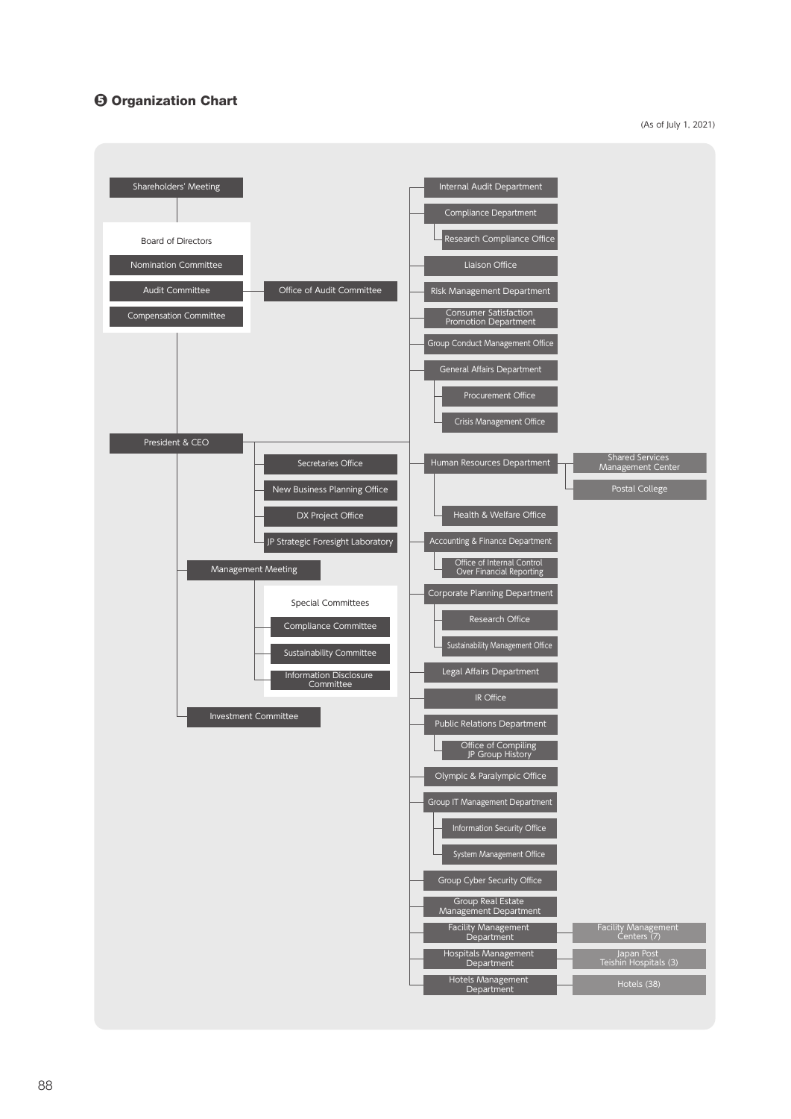# ❺ Organization Chart

(As of July 1, 2021)

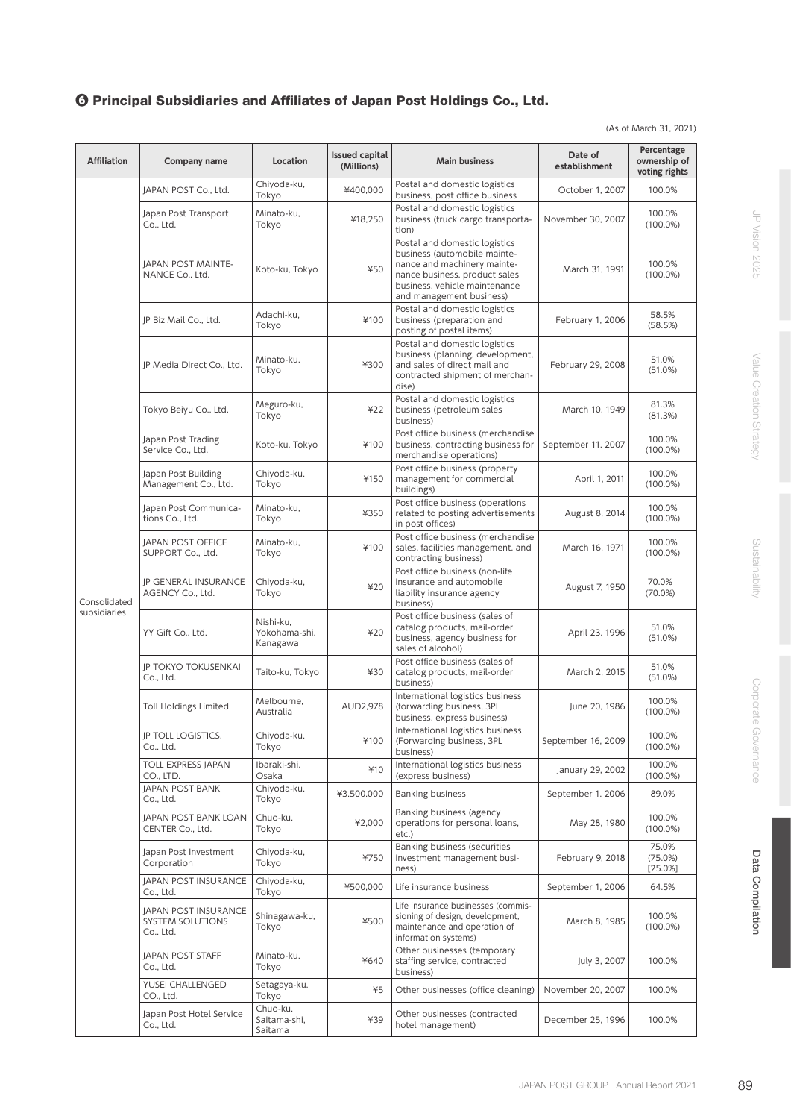# ❻ Principal Subsidiaries and Affiliates of Japan Post Holdings Co., Ltd.

(As of March 31, 2021)

| <b>Affiliation</b> | Company name                                          | Location                               | <b>Issued capital</b><br>(Millions) | <b>Main business</b>                                                                                                                                                                       | Date of<br>establishment | Percentage<br>ownership of<br>voting rights |
|--------------------|-------------------------------------------------------|----------------------------------------|-------------------------------------|--------------------------------------------------------------------------------------------------------------------------------------------------------------------------------------------|--------------------------|---------------------------------------------|
|                    | JAPAN POST Co., Ltd.                                  | Chiyoda-ku,<br>Tokyo                   | ¥400,000                            | Postal and domestic logistics<br>business, post office business                                                                                                                            | October 1, 2007          | 100.0%                                      |
|                    | Japan Post Transport<br>Co., Ltd.                     | Minato-ku,<br>Tokyo                    | ¥18,250                             | Postal and domestic logistics<br>business (truck cargo transporta-<br>tion)                                                                                                                | November 30, 2007        | 100.0%<br>$(100.0\%)$                       |
|                    | <b>JAPAN POST MAINTE-</b><br>NANCE Co., Ltd.          | Koto-ku, Tokyo                         | ¥50                                 | Postal and domestic logistics<br>business (automobile mainte-<br>nance and machinery mainte-<br>nance business, product sales<br>business, vehicle maintenance<br>and management business) | March 31, 1991           | 100.0%<br>$(100.0\%)$                       |
|                    | JP Biz Mail Co., Ltd.                                 | Adachi-ku.<br>Tokyo                    | ¥100                                | Postal and domestic logistics<br>business (preparation and<br>posting of postal items)                                                                                                     | February 1, 2006         | 58.5%<br>(58.5%)                            |
|                    | JP Media Direct Co., Ltd.                             | Minato-ku,<br>Tokyo                    | ¥300                                | Postal and domestic logistics<br>business (planning, development,<br>and sales of direct mail and<br>contracted shipment of merchan-<br>dise)                                              | February 29, 2008        | 51.0%<br>(51.0%)                            |
|                    | Tokyo Beiyu Co., Ltd.                                 | Meguro-ku,<br>Tokyo                    | 422                                 | Postal and domestic logistics<br>business (petroleum sales<br>business)                                                                                                                    | March 10, 1949           | 81.3%<br>(81.3%)                            |
|                    | Japan Post Trading<br>Service Co., Ltd.               | Koto-ku, Tokyo                         | ¥100                                | Post office business (merchandise<br>business, contracting business for<br>merchandise operations)                                                                                         | September 11, 2007       | 100.0%<br>$(100.0\%)$                       |
|                    | Japan Post Building<br>Management Co., Ltd.           | Chiyoda-ku,<br>Tokyo                   | ¥150                                | Post office business (property<br>management for commercial<br>buildings)                                                                                                                  | April 1, 2011            | 100.0%<br>$(100.0\%)$                       |
|                    | Japan Post Communica-<br>tions Co., Ltd.              | Minato-ku,<br>Tokyo                    | ¥350                                | Post office business (operations<br>related to posting advertisements<br>in post offices)                                                                                                  | August 8, 2014           | 100.0%<br>$(100.0\%)$                       |
|                    | JAPAN POST OFFICE<br>SUPPORT Co., Ltd.                | Minato-ku,<br>Tokyo                    | ¥100                                | Post office business (merchandise<br>sales, facilities management, and<br>contracting business)                                                                                            | March 16, 1971           | 100.0%<br>$(100.0\%)$                       |
| Consolidated       | <b>JP GENERAL INSURANCE</b><br>AGENCY Co., Ltd.       | Chiyoda-ku,<br>Tokyo                   | 420                                 | Post office business (non-life<br>insurance and automobile<br>liability insurance agency<br>business)                                                                                      | August 7, 1950           | 70.0%<br>$(70.0\%)$                         |
| subsidiaries       | YY Gift Co., Ltd.                                     | Nishi-ku.<br>Yokohama-shi,<br>Kanagawa | 420                                 | Post office business (sales of<br>catalog products, mail-order<br>business, agency business for<br>sales of alcohol)                                                                       | April 23, 1996           | 51.0%<br>(51.0%)                            |
|                    | <b>JP TOKYO TOKUSENKAI</b><br>Co., Ltd.               | Taito-ku, Tokyo                        | ¥30                                 | Post office business (sales of<br>catalog products, mail-order<br>business)                                                                                                                | March 2, 2015            | 51.0%<br>(51.0%)                            |
|                    | <b>Toll Holdings Limited</b>                          | Melbourne,<br>Australia                | AUD2,978                            | International logistics business<br>(forwarding business, 3PL<br>business, express business)                                                                                               | June 20, 1986            | 100.0%<br>$(100.0\%)$                       |
|                    | <b>JP TOLL LOGISTICS,</b><br>Co., Ltd.                | Chiyoda-ku,<br>Tokyo                   | ¥100                                | International logistics business<br>(Forwarding business, 3PL<br>business)                                                                                                                 | September 16, 2009       | 100.0%<br>$(100.0\%)$                       |
|                    | <b>TOLL EXPRESS JAPAN</b><br>CO., LTD.                | Ibaraki-shi,<br>Osaka                  | ¥10                                 | International logistics business<br>(express business)                                                                                                                                     | January 29, 2002         | 100.0%<br>$(100.0\%)$                       |
|                    | <b>JAPAN POST BANK</b><br>Co., Ltd.                   | Chiyoda-ku,<br>Tokyo                   | ¥3,500,000                          | <b>Banking business</b>                                                                                                                                                                    | September 1, 2006        | 89.0%                                       |
|                    | JAPAN POST BANK LOAN<br>CENTER Co., Ltd.              | Chuo-ku,<br>Tokyo                      | ¥2,000                              | Banking business (agency<br>operations for personal loans,<br>etc.)                                                                                                                        | May 28, 1980             | 100.0%<br>$(100.0\%)$                       |
|                    | Japan Post Investment<br>Corporation                  | Chiyoda-ku,<br>Tokyo                   | ¥750                                | Banking business (securities<br>investment management busi-<br>ness)                                                                                                                       | February 9, 2018         | 75.0%<br>(75.0%)<br>[25.0%]                 |
|                    | JAPAN POST INSURANCE<br>Co., Ltd.                     | Chiyoda-ku,<br>Tokyo                   | ¥500,000                            | Life insurance business                                                                                                                                                                    | September 1, 2006        | 64.5%                                       |
|                    | JAPAN POST INSURANCE<br>SYSTEM SOLUTIONS<br>Co., Ltd. | Shinagawa-ku,<br>Tokyo                 | ¥500                                | Life insurance businesses (commis-<br>sioning of design, development,<br>maintenance and operation of<br>information systems)                                                              | March 8, 1985            | 100.0%<br>$(100.0\%)$                       |
|                    | <b>JAPAN POST STAFF</b><br>Co., Ltd.                  | Minato-ku,<br>Tokyo                    | ¥640                                | Other businesses (temporary<br>staffing service, contracted<br>business)                                                                                                                   | July 3, 2007             | 100.0%                                      |
|                    | YUSEI CHALLENGED<br>CO., Ltd.                         | Setagaya-ku,<br>Tokyo                  | $*5$                                | Other businesses (office cleaning)                                                                                                                                                         | November 20, 2007        | 100.0%                                      |
|                    | Japan Post Hotel Service<br>Co., Ltd.                 | Chuo-ku,<br>Saitama-shi,<br>Saitama    | ¥39                                 | Other businesses (contracted<br>hotel management)                                                                                                                                          | December 25, 1996        | 100.0%                                      |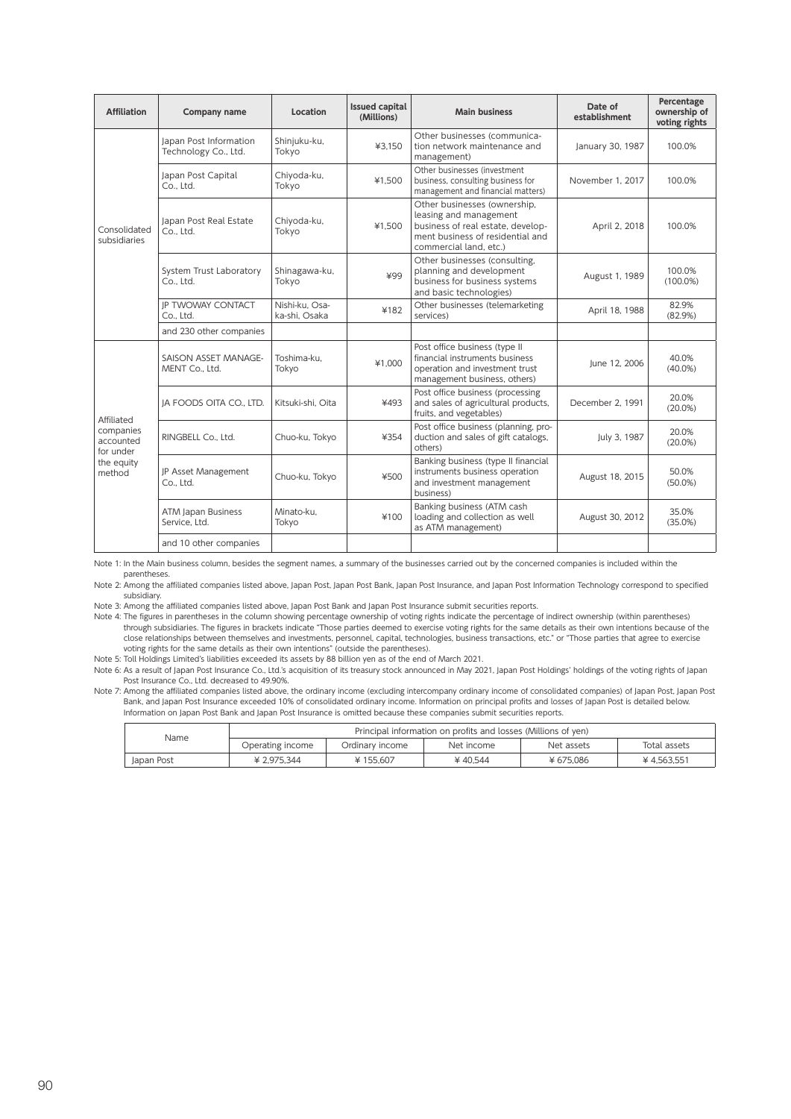| <b>Affiliation</b>                  | Company name                                   | Location                        | <b>Issued capital</b><br>(Millions) | <b>Main business</b>                                                                                                                                      | Date of<br>establishment | Percentage<br>ownership of<br>voting rights |
|-------------------------------------|------------------------------------------------|---------------------------------|-------------------------------------|-----------------------------------------------------------------------------------------------------------------------------------------------------------|--------------------------|---------------------------------------------|
|                                     | Japan Post Information<br>Technology Co., Ltd. | Shinjuku-ku,<br>Tokyo           | ¥3.150                              | Other businesses (communica-<br>tion network maintenance and<br>management)                                                                               | January 30, 1987         | 100.0%                                      |
|                                     | Japan Post Capital<br>Co., Ltd.                | Chiyoda-ku,<br>Tokyo            | ¥1.500                              | Other businesses (investment<br>business, consulting business for<br>management and financial matters)                                                    | November 1, 2017         | 100.0%                                      |
| Consolidated<br>subsidiaries        | Japan Post Real Estate<br>Co., Ltd.            | Chiyoda-ku,<br>Tokyo            | ¥1.500                              | Other businesses (ownership,<br>leasing and management<br>business of real estate, develop-<br>ment business of residential and<br>commercial land, etc.) | April 2, 2018            | 100.0%                                      |
|                                     | System Trust Laboratory<br>Co., Ltd.           | Shinagawa-ku,<br>Tokyo          | ¥99                                 | Other businesses (consulting,<br>planning and development<br>business for business systems<br>and basic technologies)                                     | August 1, 1989           | 100.0%<br>$(100.0\%)$                       |
|                                     | IP TWOWAY CONTACT<br>Co., Ltd.                 | Nishi-ku, Osa-<br>ka-shi. Osaka | ¥182                                | Other businesses (telemarketing<br>services)                                                                                                              | April 18, 1988           | 82.9%<br>(82.9%)                            |
|                                     | and 230 other companies                        |                                 |                                     |                                                                                                                                                           |                          |                                             |
|                                     | SAISON ASSET MANAGE-<br>MENT Co., Ltd.         | Toshima-ku.<br>Tokyo            | ¥1.000                              | Post office business (type II<br>financial instruments business<br>operation and investment trust<br>management business, others)                         | lune 12, 2006            | 40.0%<br>$(40.0\%)$                         |
| Affiliated                          | JA FOODS OITA CO., LTD.                        | Kitsuki-shi, Oita               | ¥493                                | Post office business (processing<br>and sales of agricultural products,<br>fruits, and vegetables)                                                        | December 2, 1991         | 20.0%<br>$(20.0\%)$                         |
| companies<br>accounted<br>for under | RINGBELL Co., Ltd.                             | Chuo-ku, Tokyo                  | ¥354                                | Post office business (planning, pro-<br>duction and sales of gift catalogs,<br>others)                                                                    | July 3, 1987             | 20.0%<br>$(20.0\%)$                         |
| the equity<br>method                | JP Asset Management<br>Co., Ltd.               | Chuo-ku, Tokyo                  | ¥500                                | Banking business (type II financial<br>instruments business operation<br>and investment management<br>business)                                           | August 18, 2015          | 50.0%<br>$(50.0\%)$                         |
|                                     | ATM Japan Business<br>Service. Ltd.            | Minato-ku.<br>Tokyo             | ¥100                                | Banking business (ATM cash<br>loading and collection as well<br>as ATM management)                                                                        | August 30, 2012          | 35.0%<br>(35.0%)                            |
|                                     | and 10 other companies                         |                                 |                                     |                                                                                                                                                           |                          |                                             |

Note 1: In the Main business column, besides the segment names, a summary of the businesses carried out by the concerned companies is included within the parentheses.

Note 2: Among the affiliated companies listed above, Japan Post, Japan Post Bank, Japan Post Insurance, and Japan Post Information Technology correspond to specified subsidiary.

Note 3: Among the affiliated companies listed above, Japan Post Bank and Japan Post Insurance submit securities reports.

Note 4: The figures in parentheses in the column showing percentage ownership of voting rights indicate the percentage of indirect ownership (within parentheses) through subsidiaries. The figures in brackets indicate "Those parties deemed to exercise voting rights for the same details as their own intentions because of the close relationships between themselves and investments, personnel, capital, technologies, business transactions, etc." or "Those parties that agree to exercise voting rights for the same details as their own intentions" (outside the parentheses).

Note 5: Toll Holdings Limited's liabilities exceeded its assets by 88 billion yen as of the end of March 2021.

Note 6: As a result of Japan Post Insurance Co., Ltd.'s acquisition of its treasury stock announced in May 2021, Japan Post Holdings' holdings of the voting rights of Japan Post Insurance Co., Ltd. decreased to 49.90%.

Note 7: Among the affiliated companies listed above, the ordinary income (excluding intercompany ordinary income of consolidated companies) of Japan Post, Japan Post Bank, and Japan Post Insurance exceeded 10% of consolidated ordinary income. Information on principal profits and losses of Japan Post is detailed below. Information on Japan Post Bank and Japan Post Insurance is omitted because these companies submit securities reports.

|            | Principal information on profits and losses (Millions of ven) |                 |            |            |              |
|------------|---------------------------------------------------------------|-----------------|------------|------------|--------------|
| Name       | Operating income                                              | Ordinarv income | Net income | Net assets | Total assets |
| Japan Post | ¥ 2.975.344                                                   | ¥155.607        | ¥40.544    | ¥675.086   | ¥4.563.551   |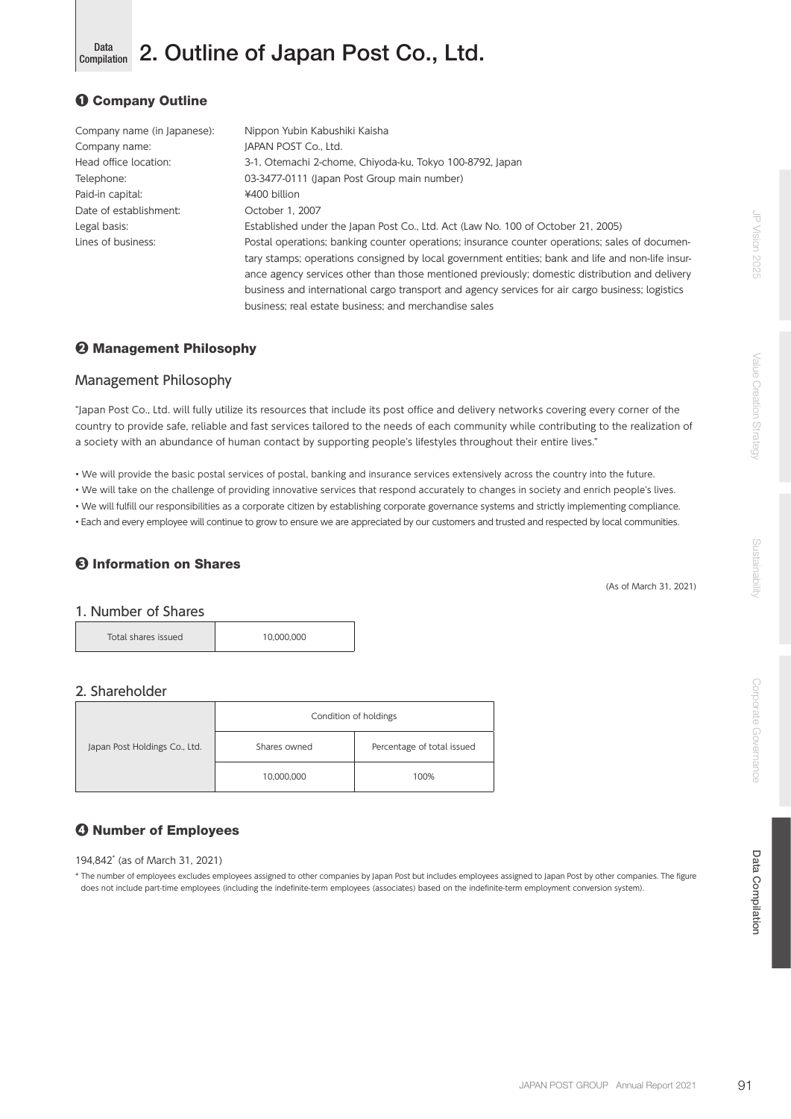#### Data 2. Outline of Japan Post Co., Ltd. Compilation

# ❶ Company Outline

| Company name (in Japanese): | Nippon Yubin Kabushiki Kaisha                                                                     |
|-----------------------------|---------------------------------------------------------------------------------------------------|
| Company name:               | <b>IAPAN POST Co., Ltd.</b>                                                                       |
| Head office location:       | 3-1, Otemachi 2-chome, Chiyoda-ku, Tokyo 100-8792, Japan                                          |
| Telephone:                  | 03-3477-0111 (Japan Post Group main number)                                                       |
| Paid-in capital:            | ¥400 billion                                                                                      |
| Date of establishment:      | October 1, 2007                                                                                   |
| Legal basis:                | Established under the Japan Post Co., Ltd. Act (Law No. 100 of October 21, 2005)                  |
| Lines of business:          | Postal operations; banking counter operations; insurance counter operations; sales of documen-    |
|                             | tary stamps; operations consigned by local government entities; bank and life and non-life insur- |
|                             | ance agency services other than those mentioned previously; domestic distribution and delivery    |
|                             | business and international cargo transport and agency services for air cargo business; logistics  |
|                             | business; real estate business; and merchandise sales                                             |

# ❷ Management Philosophy

# Management Philosophy

"Japan Post Co., Ltd. will fully utilize its resources that include its post office and delivery networks covering every corner of the country to provide safe, reliable and fast services tailored to the needs of each community while contributing to the realization of a society with an abundance of human contact by supporting people's lifestyles throughout their entire lives."

• We will provide the basic postal services of postal, banking and insurance services extensively across the country into the future.

• We will take on the challenge of providing innovative services that respond accurately to changes in society and enrich people's lives.

• We will fulfill our responsibilities as a corporate citizen by establishing corporate governance systems and strictly implementing compliance.

• Each and every employee will continue to grow to ensure we are appreciated by our customers and trusted and respected by local communities.

# ❸ Information on Shares

(As of March 31, 2021)

#### 1. Number of Shares

Total shares issued 10,000,000

# 2. Shareholder

|  |                               | Condition of holdings |                            |  |
|--|-------------------------------|-----------------------|----------------------------|--|
|  | Japan Post Holdings Co., Ltd. | Shares owned          | Percentage of total issued |  |
|  |                               | 10,000,000            | 100%                       |  |

# ❹ Number of Employees

194,842\* (as of March 31, 2021)

\* The number of employees excludes employees assigned to other companies by Japan Post but includes employees assigned to Japan Post by other companies. The figure does not include part-time employees (including the indefinite-term employees (associates) based on the indefinite-term employment conversion system).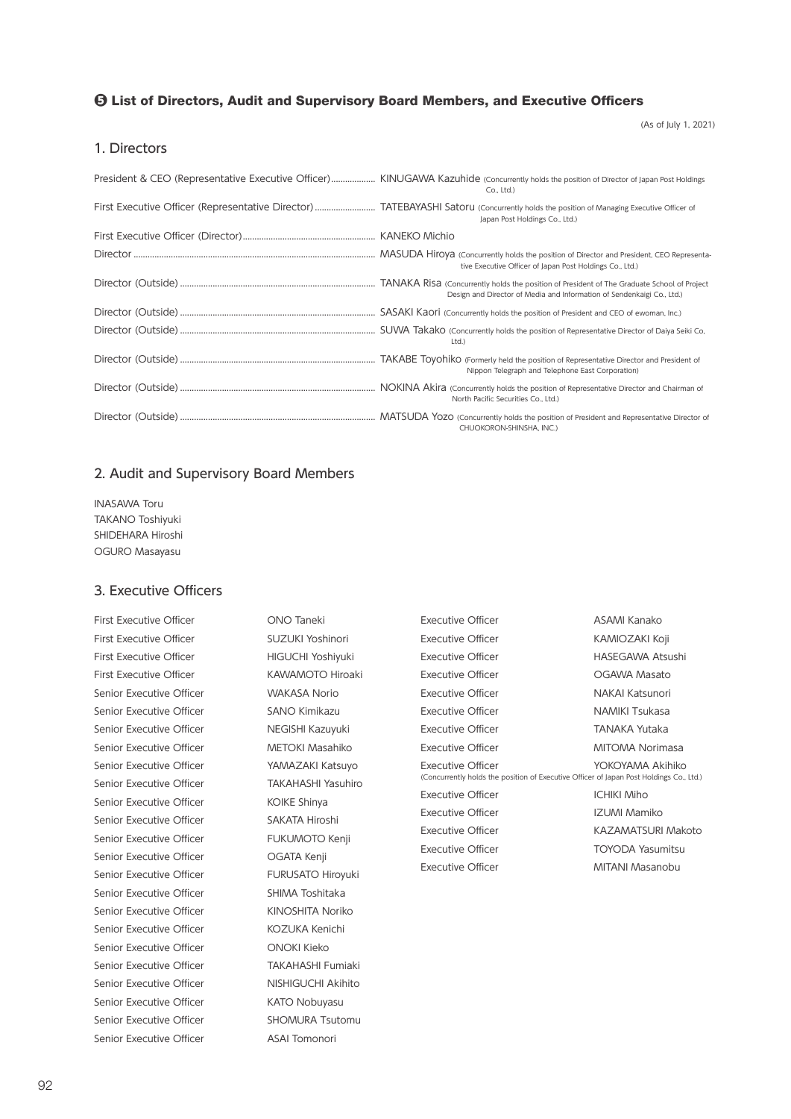#### ❺ List of Directors, Audit and Supervisory Board Members, and Executive Officers

(As of July 1, 2021)

#### 1. Directors

| $Co.$ Ltd.)                                                            |
|------------------------------------------------------------------------|
| Japan Post Holdings Co., Ltd.)                                         |
|                                                                        |
| tive Executive Officer of Japan Post Holdings Co., Ltd.)               |
| Design and Director of Media and Information of Sendenkaigi Co., Ltd.) |
|                                                                        |
| Ltd.)                                                                  |
| Nippon Telegraph and Telephone East Corporation)                       |
| North Pacific Securities Co., Ltd.)                                    |
| CHUOKORON-SHINSHA, INC.)                                               |

#### 2. Audit and Supervisory Board Members

INASAWA Toru TAKANO Toshiyuki SHIDEHARA Hiroshi OGURO Masayasu

#### 3. Executive Officers

First Executive Officer **CONO Taneki** First Executive Officer SUZUKI Yoshinori First Executive Officer HIGUCHI Yoshiyuki First Executive Officer KAWAMOTO Hiroaki Senior Executive Officer **WAKASA Norio** Senior Executive Officer SANO Kimikazu Senior Executive Officer NEGISHI Kazuyuki Senior Executive Officer METOKI Masahiko Senior Executive Officer YAMAZAKI Katsuyo Senior Executive Officer TAKAHASHI Yasuhiro Senior Executive Officer KOIKE Shinya Senior Executive Officer SAKATA Hiroshi Senior Executive Officer FUKUMOTO Kenji Senior Executive Officer **CATA Kenji** Senior Executive Officer FURUSATO Hiroyuki Senior Executive Officer SHIMA Toshitaka Senior Executive Officer KINOSHITA Noriko Senior Executive Officer KOZUKA Kenichi Senior Executive Officer **ONOKI Kieko** Senior Executive Officer TAKAHASHI Fumiaki Senior Executive Officer NISHIGUCHI Akihito Senior Executive Officer KATO Nobuyasu Senior Executive Officer SHOMURA Tsutomu Senior Executive Officer ASAI Tomonori

| Executive Officer                                                                                            | ASAMI Kanako            |
|--------------------------------------------------------------------------------------------------------------|-------------------------|
| Executive Officer                                                                                            | KAMIOZAKI Koji          |
| Executive Officer                                                                                            | HASFGAWA Atsushi        |
| Executive Officer                                                                                            | OGAWA Masato            |
| Executive Officer                                                                                            | NAKAI Katsunori         |
| Executive Officer                                                                                            | <b>NAMIKI Tsukasa</b>   |
| Executive Officer                                                                                            | <b>TANAKA Yutaka</b>    |
| Executive Officer                                                                                            | MITOMA Norimasa         |
| Executive Officer<br>(Concurrently holds the position of Executive Officer of Japan Post Holdings Co., Ltd.) | YOKOYAMA Akihiko        |
| Executive Officer                                                                                            | <b>ICHIKI Miho</b>      |
| Executive Officer                                                                                            | IZUMI Mamiko            |
| Executive Officer                                                                                            | KAZAMATSURI Makoto      |
| Executive Officer                                                                                            | <b>TOYODA Yasumitsu</b> |
| Executive Officer                                                                                            | MITANI Masanobu         |
|                                                                                                              |                         |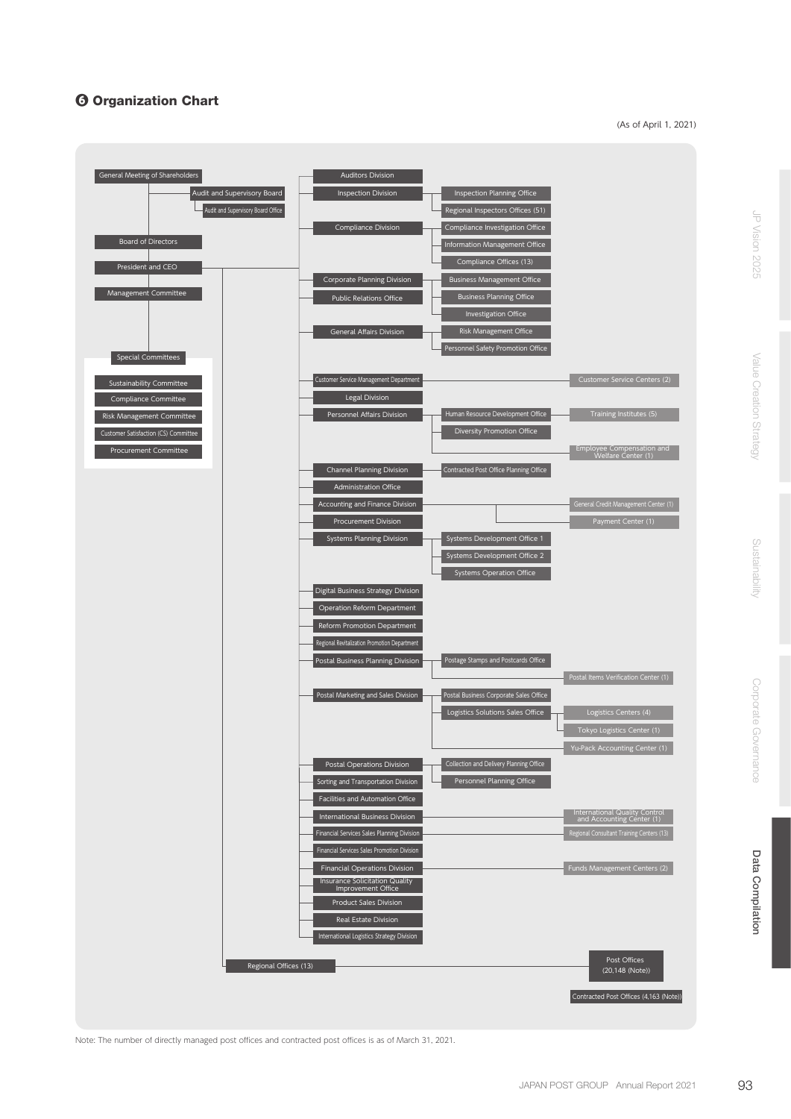# **G Organization Chart**

(As of April 1, 2021)



Note: The number of directly managed post offices and contracted post offices is as of March 31, 2021.

JP Vision 2025

Corporate Governance

Corporate Governance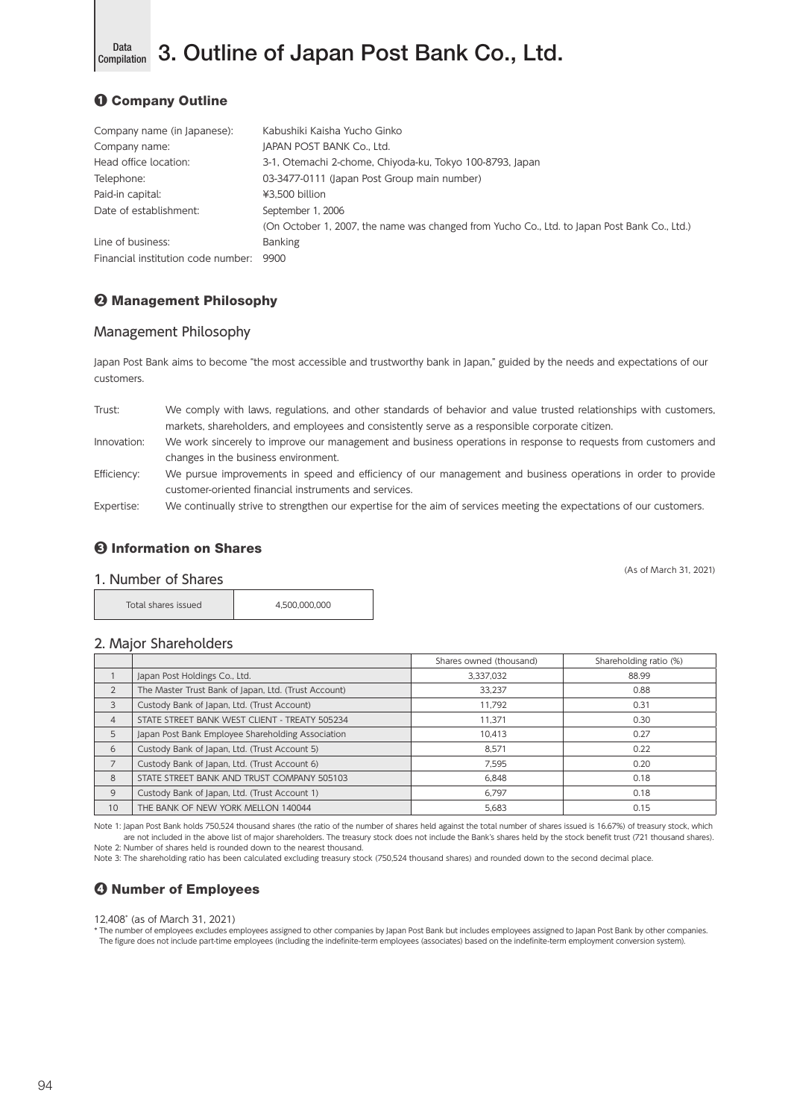

Data 3. Outline of Japan Post Bank Co., Ltd.

# ❶ Company Outline

| Company name (in Japanese):        | Kabushiki Kaisha Yucho Ginko                                                                 |
|------------------------------------|----------------------------------------------------------------------------------------------|
| Company name:                      | JAPAN POST BANK Co., Ltd.                                                                    |
| Head office location:              | 3-1, Otemachi 2-chome, Chiyoda-ku, Tokyo 100-8793, Japan                                     |
| Telephone:                         | 03-3477-0111 (Japan Post Group main number)                                                  |
| Paid-in capital:                   | ¥3,500 billion                                                                               |
| Date of establishment:             | September 1, 2006                                                                            |
|                                    | (On October 1, 2007, the name was changed from Yucho Co., Ltd. to Japan Post Bank Co., Ltd.) |
| Line of business:                  | <b>Banking</b>                                                                               |
| Financial institution code number: | 9900                                                                                         |

# ❷ Management Philosophy

## Management Philosophy

Japan Post Bank aims to become "the most accessible and trustworthy bank in Japan," guided by the needs and expectations of our customers.

| Trust:      | We comply with laws, regulations, and other standards of behavior and value trusted relationships with customers,    |
|-------------|----------------------------------------------------------------------------------------------------------------------|
|             | markets, shareholders, and employees and consistently serve as a responsible corporate citizen.                      |
| Innovation: | We work sincerely to improve our management and business operations in response to requests from customers and       |
|             | changes in the business environment.                                                                                 |
| Efficiency: | We pursue improvements in speed and efficiency of our management and business operations in order to provide         |
|             | customer-oriented financial instruments and services.                                                                |
| Expertise:  | We continually strive to strengthen our expertise for the aim of services meeting the expectations of our customers. |

# ❸ Information on Shares

(As of March 31, 2021)

#### 1. Number of Shares

| Total shares issued | 4.500.000.000 |
|---------------------|---------------|
|---------------------|---------------|

#### 2. Major Shareholders

|                |                                                      | Shares owned (thousand) | Shareholding ratio (%) |
|----------------|------------------------------------------------------|-------------------------|------------------------|
|                | Japan Post Holdings Co., Ltd.                        | 3,337,032               | 88.99                  |
| $\overline{2}$ | The Master Trust Bank of Japan, Ltd. (Trust Account) | 33.237                  | 0.88                   |
| 3              | Custody Bank of Japan, Ltd. (Trust Account)          | 11.792                  | 0.31                   |
| $\overline{4}$ | STATE STREET BANK WEST CLIENT - TREATY 505234        | 11.371                  | 0.30                   |
| 5              | Japan Post Bank Employee Shareholding Association    | 10.413                  | 0.27                   |
| 6              | Custody Bank of Japan, Ltd. (Trust Account 5)        | 8.571                   | 0.22                   |
|                | Custody Bank of Japan, Ltd. (Trust Account 6)        | 7.595                   | 0.20                   |
| 8              | STATE STREET BANK AND TRUST COMPANY 505103           | 6.848                   | 0.18                   |
| 9              | Custody Bank of Japan, Ltd. (Trust Account 1)        | 6.797                   | 0.18                   |
| 10             | THE BANK OF NEW YORK MELLON 140044                   | 5.683                   | 0.15                   |

Note 1: Japan Post Bank holds 750,524 thousand shares (the ratio of the number of shares held against the total number of shares issued is 16.67%) of treasury stock, which are not included in the above list of major shareholders. The treasury stock does not include the Bank's shares held by the stock benefit trust (721 thousand shares). Note 2: Number of shares held is rounded down to the nearest thousand.

Note 3: The shareholding ratio has been calculated excluding treasury stock (750,524 thousand shares) and rounded down to the second decimal place.

# ❹ Number of Employees

12,408\* (as of March 31, 2021)

\* The number of employees excludes employees assigned to other companies by Japan Post Bank but includes employees assigned to Japan Post Bank by other companies. The figure does not include part-time employees (including the indefinite-term employees (associates) based on the indefinite-term employment conversion system).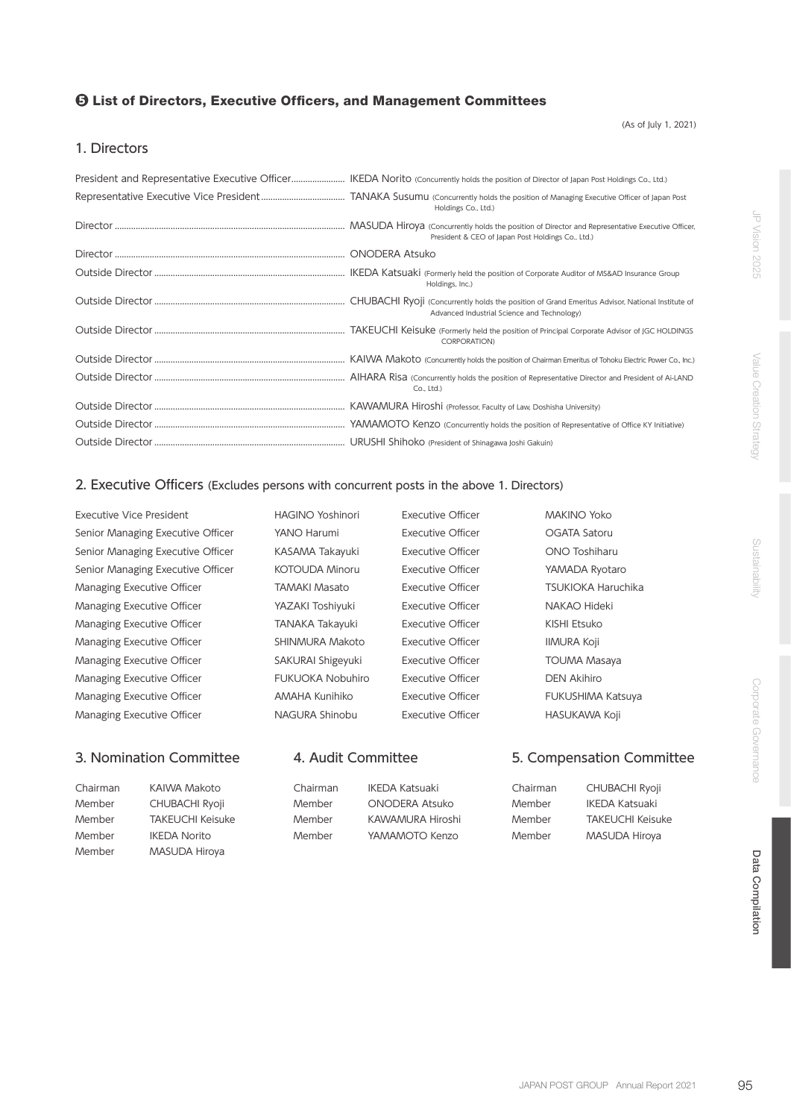### ❺ List of Directors, Executive Officers, and Management Committees

(As of July 1, 2021)

#### 1. Directors

| Holdings Co., Ltd.)                               |
|---------------------------------------------------|
| President & CEO of Japan Post Holdings Co., Ltd.) |
|                                                   |
| Holdings, Inc.)                                   |
| Advanced Industrial Science and Technology)       |
| <b>CORPORATION)</b>                               |
|                                                   |
| Co., Ltd.)                                        |
|                                                   |
|                                                   |
|                                                   |

#### 2. Executive Officers (Excludes persons with concurrent posts in the above 1. Directors)

Executive Vice President Senior Managing Executive Officer Senior Managing Executive Officer Senior Managing Executive Officer Managing Executive Officer Managing Executive Officer Managing Executive Officer Managing Executive Officer Managing Executive Officer Managing Executive Officer Managing Executive Officer Managing Executive Officer

#### 3. Nomination Committee 4. Audit Committee

| <b>HAGINO Yoshinori</b> |
|-------------------------|
| YANO Harumi             |
| KASAMA Takayuki         |
| <b>KOTOUDA Minoru</b>   |
| <b>TAMAKI Masato</b>    |
| YAZAKI Toshiyuki        |
| TANAKA Takayuki         |
| <b>SHINMURA Makoto</b>  |
| SAKURAI Shigeyuki       |
| <b>FUKUOKA Nobuhiro</b> |
| AMAHA Kunihiko          |
| NAGURA Shinobu          |
|                         |

Executive Officer MAKINO Yoko Executive Officer **CEATA Satoru** Executive Officer **ONO Toshiharu** Executive Officer YAMADA Ryotaro Executive Officer TSUKIOKA Haruchika Executive Officer **NAKAO Hideki** Executive Officer KISHI Etsuko Executive Officer **IIMURA Koji** Executive Officer TOUMA Masaya Executive Officer DEN Akihiro Executive Officer FUKUSHIMA Katsuya Executive Officer **HASUKAWA Koji** 

| Chairman | KAIWA Makoto          | Chairman | IKEDA Katsuaki        | Chairman | <b>CHUBACHI Ryoji</b>   |
|----------|-----------------------|----------|-----------------------|----------|-------------------------|
| Member   | <b>CHUBACHI Ryoji</b> | Member   | <b>ONODERA Atsuko</b> | Member   | IKEDA Katsuaki          |
| Member   | TAKEUCHI Keisuke      | Member   | KAWAMURA Hiroshi      | Member   | <b>TAKEUCHI Keisuke</b> |
| Member   | <b>IKEDA Norito</b>   | Member   | YAMAMOTO Kenzo        | Member   | MASUDA Hiroya           |
| Member   | MASUDA Hiroya         |          |                       |          |                         |

5. Compensation Committee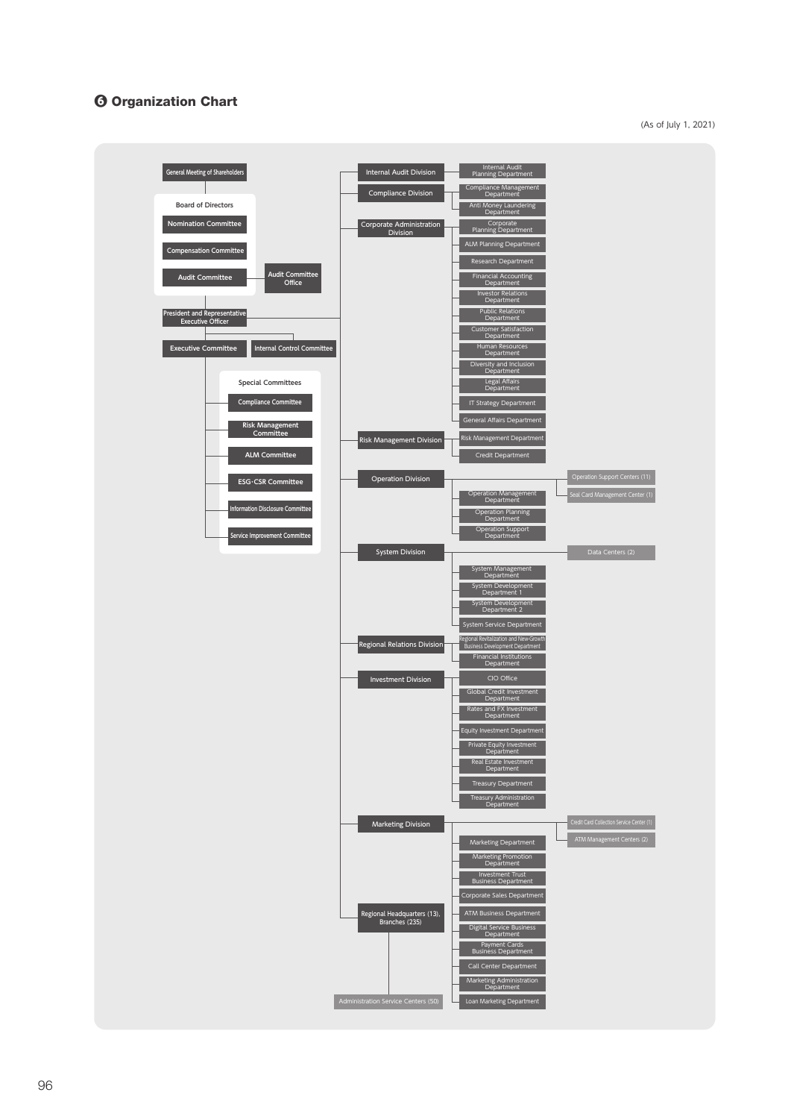# ❻ Organization Chart

(As of July 1, 2021)

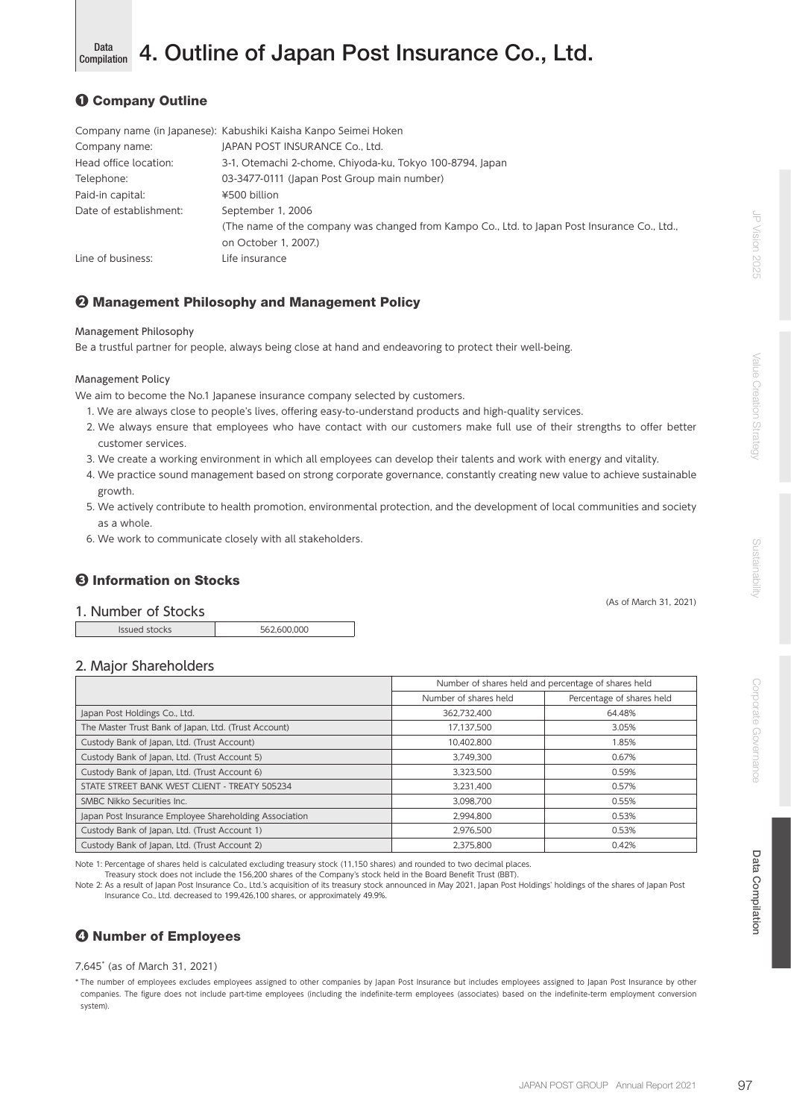(As of March 31, 2021)

#### Data **4. Outline of Japan Post Insurance Co., Ltd.** Compilation

# ❶ Company Outline

|                        | Company name (in Japanese): Kabushiki Kaisha Kanpo Seimei Hoken                              |
|------------------------|----------------------------------------------------------------------------------------------|
| Company name:          | JAPAN POST INSURANCE Co., Ltd.                                                               |
| Head office location:  | 3-1, Otemachi 2-chome, Chiyoda-ku, Tokyo 100-8794, Japan                                     |
| Telephone:             | 03-3477-0111 (Japan Post Group main number)                                                  |
| Paid-in capital:       | ¥500 billion                                                                                 |
| Date of establishment: | September 1, 2006                                                                            |
|                        | (The name of the company was changed from Kampo Co., Ltd. to Japan Post Insurance Co., Ltd., |
|                        | on October 1, 2007.)                                                                         |
| Line of business:      | Life insurance                                                                               |

## ❷ Management Philosophy and Management Policy

#### Management Philosophy

Be a trustful partner for people, always being close at hand and endeavoring to protect their well-being.

#### Management Policy

We aim to become the No.1 Japanese insurance company selected by customers.

- 1. We are always close to people's lives, offering easy-to-understand products and high-quality services.
- 2. We always ensure that employees who have contact with our customers make full use of their strengths to offer better customer services.
- 3. We create a working environment in which all employees can develop their talents and work with energy and vitality.
- 4. We practice sound management based on strong corporate governance, constantly creating new value to achieve sustainable growth.
- 5. We actively contribute to health promotion, environmental protection, and the development of local communities and society as a whole.
- 6. We work to communicate closely with all stakeholders.

### ❸ Information on Stocks

1. Number of Stocks

Issued stocks 562,600,000

#### 2. Major Shareholders

|                                                        | Number of shares held and percentage of shares held |                           |  |
|--------------------------------------------------------|-----------------------------------------------------|---------------------------|--|
|                                                        | Number of shares held                               | Percentage of shares held |  |
| Japan Post Holdings Co., Ltd.                          | 362.732.400                                         | 64.48%                    |  |
| The Master Trust Bank of Japan, Ltd. (Trust Account)   | 17.137.500                                          | 3.05%                     |  |
| Custody Bank of Japan, Ltd. (Trust Account)            | 10.402.800                                          | 1.85%                     |  |
| Custody Bank of Japan, Ltd. (Trust Account 5)          | 3.749.300                                           | 0.67%                     |  |
| Custody Bank of Japan, Ltd. (Trust Account 6)          | 3.323.500                                           | 0.59%                     |  |
| STATE STREET BANK WEST CLIENT - TREATY 505234          | 3.231.400                                           | 0.57%                     |  |
| SMBC Nikko Securities Inc.                             | 3.098.700                                           | 0.55%                     |  |
| Japan Post Insurance Employee Shareholding Association | 2.994.800                                           | 0.53%                     |  |
| Custody Bank of Japan, Ltd. (Trust Account 1)          | 2.976.500                                           | 0.53%                     |  |
| Custody Bank of Japan, Ltd. (Trust Account 2)          | 2.375.800                                           | 0.42%                     |  |

Note 1: Percentage of shares held is calculated excluding treasury stock (11,150 shares) and rounded to two decimal places.

Treasury stock does not include the 156,200 shares of the Company's stock held in the Board Benefit Trust (BBT).

Note 2: As a result of Japan Post Insurance Co., Ltd.'s acquisition of its treasury stock announced in May 2021, Japan Post Holdings' holdings of the shares of Japan Post Insurance Co., Ltd. decreased to 199,426,100 shares, or approximately 49.9%.

# ❹ Number of Employees

#### 7,645\* (as of March 31, 2021)

\* The number of employees excludes employees assigned to other companies by Japan Post Insurance but includes employees assigned to Japan Post Insurance by other companies. The figure does not include part-time employees (including the indefinite-term employees (associates) based on the indefinite-term employment conversion system).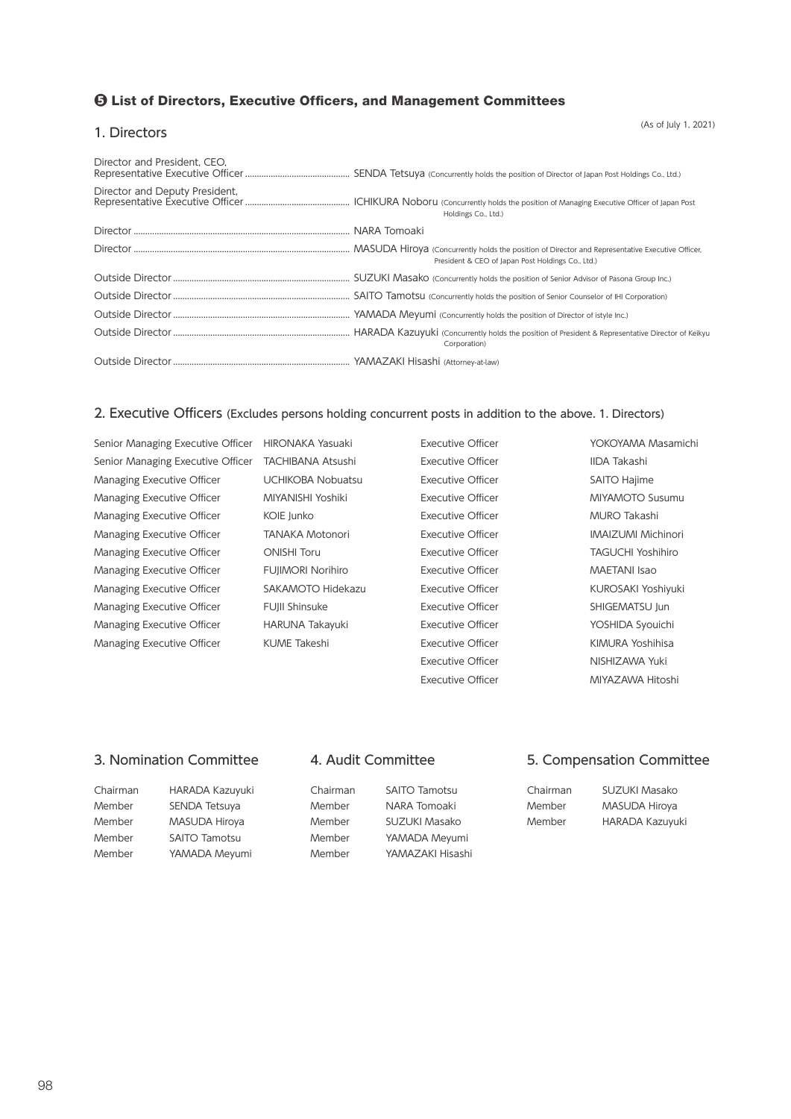# ❺ List of Directors, Executive Officers, and Management Committees

#### 1. Directors

(As of July 1, 2021)

| Director and President, CEO, |                                                   |
|------------------------------|---------------------------------------------------|
|                              | Holdings Co., Ltd.)                               |
|                              |                                                   |
|                              | President & CEO of Japan Post Holdings Co., Ltd.) |
|                              |                                                   |
|                              |                                                   |
|                              |                                                   |
|                              | Corporation)                                      |
|                              |                                                   |

# 2. Executive Officers (Excludes persons holding concurrent posts in addition to the above. 1. Directors)

| Senior Managing Executive Officer | HIRONAKA Yasuaki         | Executive Officer        | YOKOYAMA Masamichi        |
|-----------------------------------|--------------------------|--------------------------|---------------------------|
| Senior Managing Executive Officer | <b>TACHIBANA Atsushi</b> | <b>Executive Officer</b> | IIDA Takashi              |
| Managing Executive Officer        | <b>UCHIKOBA Nobuatsu</b> | <b>Executive Officer</b> | SAITO Hajime              |
| Managing Executive Officer        | MIYANISHI Yoshiki        | Executive Officer        | <b>MIYAMOTO Susumu</b>    |
| Managing Executive Officer        | KOIE Junko               | <b>Executive Officer</b> | <b>MURO Takashi</b>       |
| Managing Executive Officer        | <b>TANAKA Motonori</b>   | <b>Executive Officer</b> | <b>IMAIZUMI Michinori</b> |
| Managing Executive Officer        | <b>ONISHI Toru</b>       | <b>Executive Officer</b> | TAGUCHI Yoshihiro         |
| Managing Executive Officer        | <b>FUJIMORI Norihiro</b> | <b>Executive Officer</b> | <b>MAETANI Isao</b>       |
| Managing Executive Officer        | SAKAMOTO Hidekazu        | <b>Executive Officer</b> | <b>KUROSAKI Yoshiyuki</b> |
| Managing Executive Officer        | FUJII Shinsuke           | <b>Executive Officer</b> | SHIGEMATSU Jun            |
| Managing Executive Officer        | HARUNA Takayuki          | <b>Executive Officer</b> | YOSHIDA Syouichi          |
| Managing Executive Officer        | KUME Takeshi             | <b>Executive Officer</b> | KIMURA Yoshihisa          |
|                                   |                          | <b>Executive Officer</b> | NISHIZAWA Yuki            |
|                                   |                          | <b>Executive Officer</b> | MIYAZAWA Hitoshi          |

## 3. Nomination Committee 4. Audit Committee 5. Compensation Committee

| Chairman | HARADA Kazuyuki      | Chairman | <b>SAITO Tamotsu</b> | Chairman | SUZUKI Masako          |
|----------|----------------------|----------|----------------------|----------|------------------------|
| Member   | SENDA Tetsuya        | Member   | NARA Tomoaki         | Member   | MASUDA Hiroya          |
| Member   | MASUDA Hiroya        | Member   | SUZUKI Masako        | Member   | <b>HARADA Kazuyuki</b> |
| Member   | <b>SAITO Tamotsu</b> | Member   | YAMADA Meyumi        |          |                        |
| Member   | YAMADA Meyumi        | Member   | YAMAZAKI Hisashi     |          |                        |
|          |                      |          |                      |          |                        |